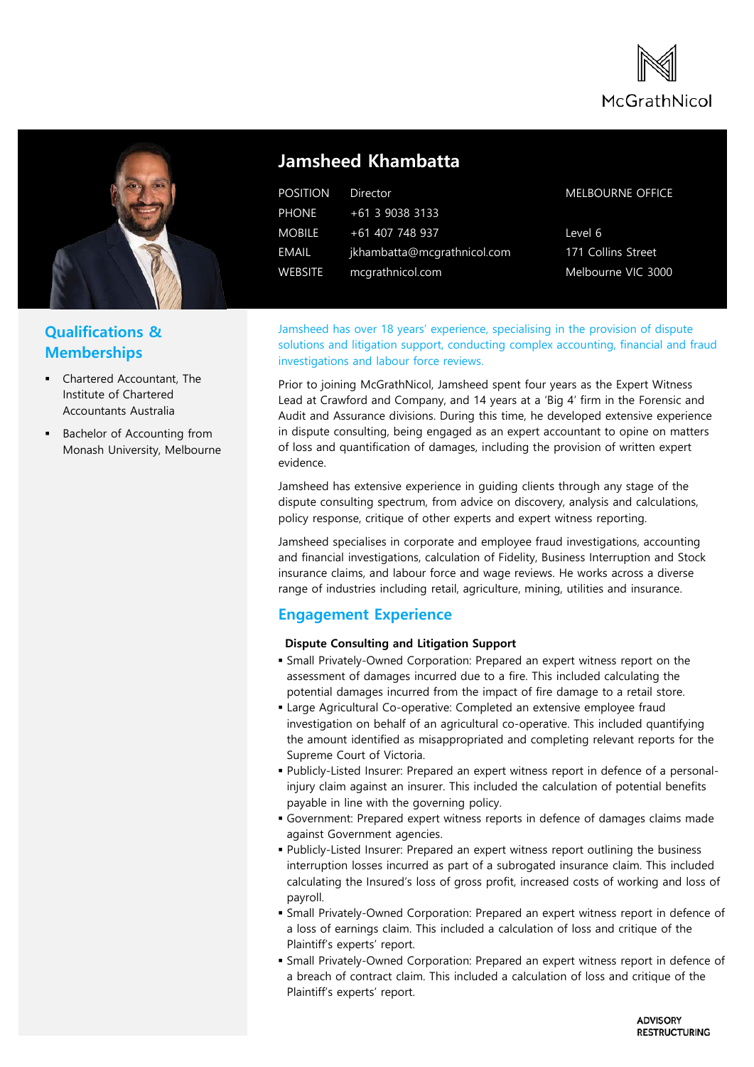



## **Qualifications & Memberships**

- Chartered Accountant, The Institute of Chartered Accountants Australia
- Bachelor of Accounting from Monash University, Melbourne

# **Jamsheed Khambatta**

| <b>POSITION</b> | Director                    |
|-----------------|-----------------------------|
| <b>PHONE</b>    | $+61$ 3 9038 3133           |
| <b>MOBILE</b>   | +61 407 748 937             |
| EMAIL           | jkhambatta@mcgrathnicol.com |
| <b>WEBSITE</b>  | mcgrathnicol.com            |

### MELBOURNE OFFICE

Level 6 171 Collins Street Melbourne VIC 3000

Jamsheed has over 18 years' experience, specialising in the provision of dispute solutions and litigation support, conducting complex accounting, financial and fraud investigations and labour force reviews.

Prior to joining McGrathNicol, Jamsheed spent four years as the Expert Witness Lead at Crawford and Company, and 14 years at a 'Big 4' firm in the Forensic and Audit and Assurance divisions. During this time, he developed extensive experience in dispute consulting, being engaged as an expert accountant to opine on matters of loss and quantification of damages, including the provision of written expert evidence.

Jamsheed has extensive experience in guiding clients through any stage of the dispute consulting spectrum, from advice on discovery, analysis and calculations, policy response, critique of other experts and expert witness reporting.

Jamsheed specialises in corporate and employee fraud investigations, accounting and financial investigations, calculation of Fidelity, Business Interruption and Stock insurance claims, and labour force and wage reviews. He works across a diverse range of industries including retail, agriculture, mining, utilities and insurance.

## **Engagement Experience**

#### **Dispute Consulting and Litigation Support**

- Small Privately-Owned Corporation: Prepared an expert witness report on the assessment of damages incurred due to a fire. This included calculating the potential damages incurred from the impact of fire damage to a retail store.
- Large Agricultural Co-operative: Completed an extensive employee fraud investigation on behalf of an agricultural co-operative. This included quantifying the amount identified as misappropriated and completing relevant reports for the Supreme Court of Victoria.
- Publicly-Listed Insurer: Prepared an expert witness report in defence of a personalinjury claim against an insurer. This included the calculation of potential benefits payable in line with the governing policy.
- Government: Prepared expert witness reports in defence of damages claims made against Government agencies.
- Publicly-Listed Insurer: Prepared an expert witness report outlining the business interruption losses incurred as part of a subrogated insurance claim. This included calculating the Insured's loss of gross profit, increased costs of working and loss of payroll.
- Small Privately-Owned Corporation: Prepared an expert witness report in defence of a loss of earnings claim. This included a calculation of loss and critique of the Plaintiff's experts' report.
- Small Privately-Owned Corporation: Prepared an expert witness report in defence of a breach of contract claim. This included a calculation of loss and critique of the Plaintiff's experts' report.